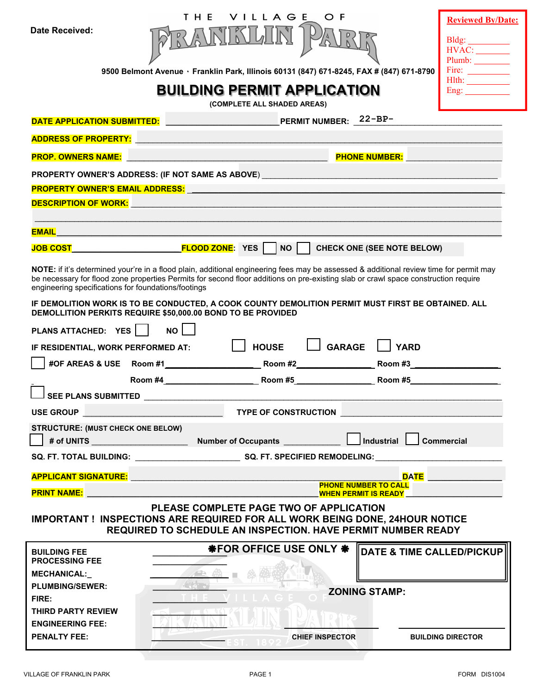|                                                                                                                                                                                                                                                                                                                                     | VILLAGE<br>T H F<br>O F                                                                                                                                                                                                        | <b>Reviewed By/Date:</b>                                           |  |  |  |  |
|-------------------------------------------------------------------------------------------------------------------------------------------------------------------------------------------------------------------------------------------------------------------------------------------------------------------------------------|--------------------------------------------------------------------------------------------------------------------------------------------------------------------------------------------------------------------------------|--------------------------------------------------------------------|--|--|--|--|
| Date Received:                                                                                                                                                                                                                                                                                                                      |                                                                                                                                                                                                                                |                                                                    |  |  |  |  |
|                                                                                                                                                                                                                                                                                                                                     |                                                                                                                                                                                                                                | Bldg: __________<br>HVAC:                                          |  |  |  |  |
|                                                                                                                                                                                                                                                                                                                                     | 9500 Belmont Avenue · Franklin Park, Illinois 60131 (847) 671-8245, FAX # (847) 671-8790                                                                                                                                       | Plumb:<br>Fire: $\frac{1}{\sqrt{1-\frac{1}{2}} \cdot \frac{1}{2}}$ |  |  |  |  |
|                                                                                                                                                                                                                                                                                                                                     | Hlth: ______________                                                                                                                                                                                                           |                                                                    |  |  |  |  |
| <b>BUILDING PERMIT APPLICATION</b><br>Eng: $\qquad \qquad$<br>(COMPLETE ALL SHADED AREAS)                                                                                                                                                                                                                                           |                                                                                                                                                                                                                                |                                                                    |  |  |  |  |
|                                                                                                                                                                                                                                                                                                                                     |                                                                                                                                                                                                                                |                                                                    |  |  |  |  |
|                                                                                                                                                                                                                                                                                                                                     | ADDRESS OF PROPERTY: AND AN INCOMERCIAL CONTRACT OF THE CONTRACT OF THE CONTRACT OF THE CONTRACT OF THE CONTRACT OF THE CONTRACT OF THE CONTRACT OF THE CONTRACT OF THE CONTRACT OF THE CONTRACT OF THE CONTRACT OF THE CONTRA |                                                                    |  |  |  |  |
|                                                                                                                                                                                                                                                                                                                                     | PHONE NUMBER: NAME OF STREET                                                                                                                                                                                                   |                                                                    |  |  |  |  |
| PROPERTY OWNER'S ADDRESS: (IF NOT SAME AS ABOVE) _______________________________                                                                                                                                                                                                                                                    |                                                                                                                                                                                                                                |                                                                    |  |  |  |  |
|                                                                                                                                                                                                                                                                                                                                     | PROPERTY OWNER'S EMAIL ADDRESS: NATIONAL ARREST AND THE RESERVE AND THE RESERVE AND THE RESERVE AND THE RESERVE AND THE RESERVE AND THE RESERVE AND THE RESERVE AND THE RESERVE AND THE RESERVE AND THE RESERVE AND THE RESERV |                                                                    |  |  |  |  |
|                                                                                                                                                                                                                                                                                                                                     | DESCRIPTION OF WORK: William Contract Contract Contract Contract Contract Contract Contract Contract Contract Co                                                                                                               |                                                                    |  |  |  |  |
|                                                                                                                                                                                                                                                                                                                                     |                                                                                                                                                                                                                                |                                                                    |  |  |  |  |
|                                                                                                                                                                                                                                                                                                                                     |                                                                                                                                                                                                                                |                                                                    |  |  |  |  |
| NOTE: if it's determined your're in a flood plain, additional engineering fees may be assessed & additional review time for permit may<br>be necessary for flood zone properties Permits for second floor additions on pre-existing slab or crawl space construction require<br>engineering specifications for foundations/footings |                                                                                                                                                                                                                                |                                                                    |  |  |  |  |
|                                                                                                                                                                                                                                                                                                                                     | IF DEMOLITION WORK IS TO BE CONDUCTED, A COOK COUNTY DEMOLITION PERMIT MUST FIRST BE OBTAINED. ALL<br>DEMOLLITION PERKITS REQUIRE \$50,000.00 BOND TO BE PROVIDED                                                              |                                                                    |  |  |  |  |
| PLANS ATTACHED: YES                                                                                                                                                                                                                                                                                                                 | <b>NO</b>                                                                                                                                                                                                                      |                                                                    |  |  |  |  |
| IF RESIDENTIAL, WORK PERFORMED AT:                                                                                                                                                                                                                                                                                                  | $\Box$ GARAGE<br>$\vert$ $\vert$ YARD<br><b>HOUSE</b>                                                                                                                                                                          |                                                                    |  |  |  |  |
|                                                                                                                                                                                                                                                                                                                                     | #OF AREAS & USE Room #1 Room +2 Room #2 Room +2 Room #3                                                                                                                                                                        |                                                                    |  |  |  |  |
|                                                                                                                                                                                                                                                                                                                                     |                                                                                                                                                                                                                                |                                                                    |  |  |  |  |
| $\Box$ SEE PLANS SUBMITTED                                                                                                                                                                                                                                                                                                          |                                                                                                                                                                                                                                |                                                                    |  |  |  |  |
| USE GROUP AND INTERNATIONAL CONTRACTOR CONTRACTOR                                                                                                                                                                                                                                                                                   | <b>TYPE OF CONSTRUCTION</b>                                                                                                                                                                                                    |                                                                    |  |  |  |  |
| <b>STRUCTURE: (MUST CHECK ONE BELOW)</b>                                                                                                                                                                                                                                                                                            |                                                                                                                                                                                                                                |                                                                    |  |  |  |  |
|                                                                                                                                                                                                                                                                                                                                     |                                                                                                                                                                                                                                | <b>Commercial</b>                                                  |  |  |  |  |
|                                                                                                                                                                                                                                                                                                                                     |                                                                                                                                                                                                                                |                                                                    |  |  |  |  |
|                                                                                                                                                                                                                                                                                                                                     | DATE <b>DATE</b>                                                                                                                                                                                                               |                                                                    |  |  |  |  |
| <b>PRINT NAME:</b>                                                                                                                                                                                                                                                                                                                  |                                                                                                                                                                                                                                |                                                                    |  |  |  |  |
| PLEASE COMPLETE PAGE TWO OF APPLICATION<br>IMPORTANT ! INSPECTIONS ARE REQUIRED FOR ALL WORK BEING DONE, 24HOUR NOTICE<br><b>REQUIRED TO SCHEDULE AN INSPECTION. HAVE PERMIT NUMBER READY</b>                                                                                                                                       |                                                                                                                                                                                                                                |                                                                    |  |  |  |  |
| <b>BUILDING FEE</b><br><b>PROCESSING FEE</b>                                                                                                                                                                                                                                                                                        | <b>*FOR OFFICE USE ONLY *</b>                                                                                                                                                                                                  | DATE & TIME CALLED/PICKUP                                          |  |  |  |  |
| <b>MECHANICAL:_</b>                                                                                                                                                                                                                                                                                                                 |                                                                                                                                                                                                                                |                                                                    |  |  |  |  |
| <b>PLUMBING/SEWER:</b>                                                                                                                                                                                                                                                                                                              | <b>ZONING STAMP:</b>                                                                                                                                                                                                           |                                                                    |  |  |  |  |
| FIRE:                                                                                                                                                                                                                                                                                                                               |                                                                                                                                                                                                                                |                                                                    |  |  |  |  |
| THIRD PARTY REVIEW<br><b>ENGINEERING FEE:</b>                                                                                                                                                                                                                                                                                       |                                                                                                                                                                                                                                |                                                                    |  |  |  |  |
| <b>PENALTY FEE:</b>                                                                                                                                                                                                                                                                                                                 | <b>CHIEF INSPECTOR</b><br><b>BUILDING DIRECTOR</b>                                                                                                                                                                             |                                                                    |  |  |  |  |
|                                                                                                                                                                                                                                                                                                                                     |                                                                                                                                                                                                                                |                                                                    |  |  |  |  |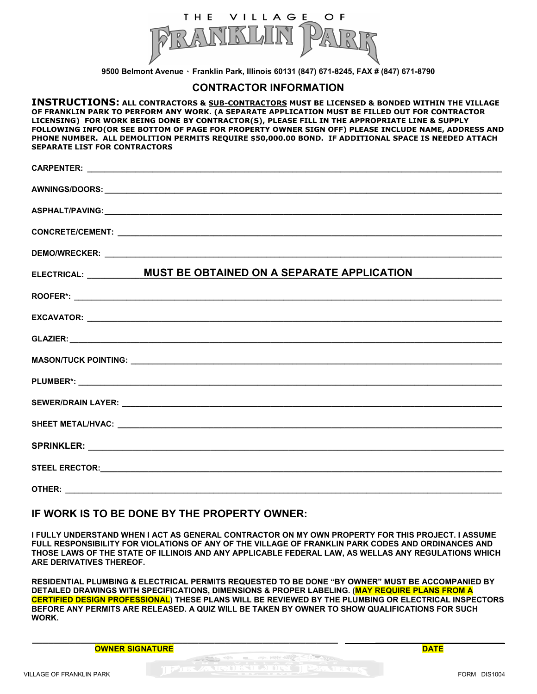

**9500 Belmont Avenue ٠ Franklin Park, Illinois 60131 (847) 671-8245, FAX # (847) 671-8790** 

#### **CONTRACTOR INFORMATION**

**INSTRUCTIONS: ALL CONTRACTORS & SUB-CONTRACTORS MUST BE LICENSED & BONDED WITHIN THE VILLAGE OF FRANKLIN PARK TO PERFORM ANY WORK. (A SEPARATE APPLICATION MUST BE FILLED OUT FOR CONTRACTOR LICENSING) FOR WORK BEING DONE BY CONTRACTOR(S), PLEASE FILL IN THE APPROPRIATE LINE & SUPPLY FOLLOWING INFO(OR SEE BOTTOM OF PAGE FOR PROPERTY OWNER SIGN OFF) PLEASE INCLUDE NAME, ADDRESS AND PHONE NUMBER. ALL DEMOLITION PERMITS REQUIRE \$50,000.00 BOND. IF ADDITIONAL SPACE IS NEEDED ATTACH SEPARATE LIST FOR CONTRACTORS** 

|        | ELECTRICAL: _____________ MUST BE OBTAINED ON A SEPARATE APPLICATION |
|--------|----------------------------------------------------------------------|
|        |                                                                      |
|        |                                                                      |
|        |                                                                      |
|        |                                                                      |
|        |                                                                      |
|        |                                                                      |
|        |                                                                      |
|        |                                                                      |
|        |                                                                      |
| OTHER: |                                                                      |

#### **IF WORK IS TO BE DONE BY THE PROPERTY OWNER:**

**I FULLY UNDERSTAND WHEN I ACT AS GENERAL CONTRACTOR ON MY OWN PROPERTY FOR THIS PROJECT. I ASSUME FULL RESPONSIBILITY FOR VIOLATIONS OF ANY OF THE VILLAGE OF FRANKLIN PARK CODES AND ORDINANCES AND THOSE LAWS OF THE STATE OF ILLINOIS AND ANY APPLICABLE FEDERAL LAW, AS WELLAS ANY REGULATIONS WHICH ARE DERIVATIVES THEREOF.** 

**RESIDENTIAL PLUMBING & ELECTRICAL PERMITS REQUESTED TO BE DONE "BY OWNER" MUST BE ACCOMPANIED BY DETAILED DRAWINGS WITH SPECIFICATIONS, DIMENSIONS & PROPER LABELING. (MAY REQUIRE PLANS FROM A CERTIFIED DESIGN PROFESSIONAL) THESE PLANS WILL BE REVIEWED BY THE PLUMBING OR ELECTRICAL INSPECTORS BEFORE ANY PERMITS ARE RELEASED. A QUIZ WILL BE TAKEN BY OWNER TO SHOW QUALIFICATIONS FOR SUCH WORK.** 

 **\_\_\_\_\_\_\_\_\_\_\_\_\_\_\_\_\_\_\_\_\_\_\_\_\_\_\_\_\_\_\_\_\_\_\_\_\_\_\_\_\_\_\_\_\_\_\_\_\_\_\_\_\_\_\_\_\_ \_\_\_\_\_\_\_\_\_\_\_\_\_\_\_\_\_\_\_\_\_\_\_\_ OWNER SIGNATURE DATE**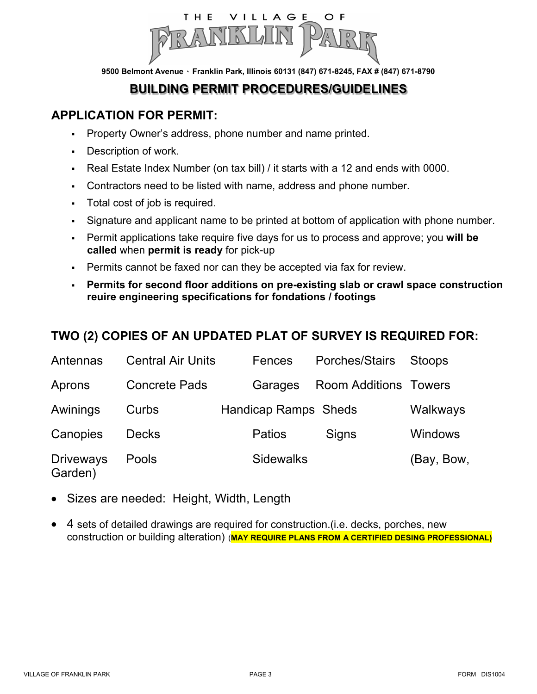

**9500 Belmont Avenue ٠ Franklin Park, Illinois 60131 (847) 671-8245, FAX # (847) 671-8790** 

# **BUILDING PERMIT PROCEDURES/GUIDELINES**

### **APPLICATION FOR PERMIT:**

- Property Owner's address, phone number and name printed.
- Description of work.
- Real Estate Index Number (on tax bill) / it starts with a 12 and ends with 0000.
- Contractors need to be listed with name, address and phone number.
- Total cost of job is required.
- Signature and applicant name to be printed at bottom of application with phone number.
- Permit applications take require five days for us to process and approve; you **will be called** when **permit is ready** for pick-up
- Permits cannot be faxed nor can they be accepted via fax for review.
- **Permits for second floor additions on pre-existing slab or crawl space construction reuire engineering specifications for fondations / footings**

# **TWO (2) COPIES OF AN UPDATED PLAT OF SURVEY IS REQUIRED FOR:**

| Antennas                    | <b>Central Air Units</b> | Fences                      | Porches/Stairs               | <b>Stoops</b>  |
|-----------------------------|--------------------------|-----------------------------|------------------------------|----------------|
| Aprons                      | <b>Concrete Pads</b>     | Garages                     | <b>Room Additions Towers</b> |                |
| Awinings                    | Curbs                    | <b>Handicap Ramps Sheds</b> |                              | Walkways       |
| Canopies                    | <b>Decks</b>             | <b>Patios</b>               | Signs                        | <b>Windows</b> |
| <b>Driveways</b><br>Garden) | Pools                    | <b>Sidewalks</b>            |                              | (Bay, Bow,     |

- Sizes are needed: Height, Width, Length
- 4 sets of detailed drawings are required for construction.(i.e. decks, porches, new construction or building alteration) (**MAY REQUIRE PLANS FROM A CERTIFIED DESING PROFESSIONAL)**